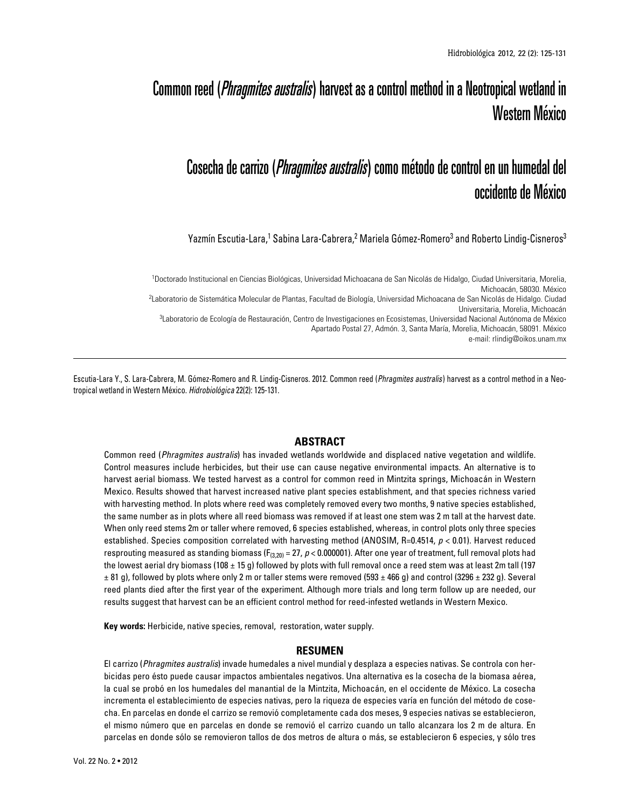# Common reed (*Phragmites australis*) harvest as a control method in a Neotropical wetland in Western México

## Cosecha de carrizo (*Phragmites australis*) como método de control en un humedal del occidente de México

Yazmín Escutia-Lara,<sup>1</sup> Sabina Lara-Cabrera,<sup>2</sup> Mariela Gómez-Romero<sup>3</sup> and Roberto Lindig-Cisneros<sup>3</sup>

1 Doctorado Institucional en Ciencias Biológicas, Universidad Michoacana de San Nicolás de Hidalgo, Ciudad Universitaria, Morelia, Michoacán, 58030. México 2 Laboratorio de Sistemática Molecular de Plantas, Facultad de Biología, Universidad Michoacana de San Nicolás de Hidalgo. Ciudad Universitaria, Morelia, Michoacán 3 Laboratorio de Ecología de Restauración, Centro de Investigaciones en Ecosistemas, Universidad Nacional Autónoma de México Apartado Postal 27, Admón. 3, Santa María, Morelia, Michoacán, 58091. México e-mail: rlindig@oikos.unam.mx

Escutia-Lara Y., S. Lara-Cabrera, M. Gómez-Romero and R. Lindig-Cisneros. 2012. Common reed (*Phragmites australis*) harvest as a control method in a Neotropical wetland in Western México. *Hidrobiológica* 22(2): 125-131.

## **ABSTRACT**

Common reed (*Phragmites australis*) has invaded wetlands worldwide and displaced native vegetation and wildlife. Control measures include herbicides, but their use can cause negative environmental impacts. An alternative is to harvest aerial biomass. We tested harvest as a control for common reed in Mintzita springs, Michoacán in Western Mexico. Results showed that harvest increased native plant species establishment, and that species richness varied with harvesting method. In plots where reed was completely removed every two months, 9 native species established, the same number as in plots where all reed biomass was removed if at least one stem was 2 m tall at the harvest date. When only reed stems 2m or taller where removed, 6 species established, whereas, in control plots only three species established. Species composition correlated with harvesting method (ANOSIM, R=0.4514, *p* < 0.01). Harvest reduced resprouting measured as standing biomass ( $F_{(3,20)} = 27$ ,  $p < 0.000001$ ). After one year of treatment, full removal plots had the lowest aerial dry biomass (108  $\pm$  15 g) followed by plots with full removal once a reed stem was at least 2m tall (197  $\pm$  81 g), followed by plots where only 2 m or taller stems were removed (593  $\pm$  466 g) and control (3296  $\pm$  232 g). Several reed plants died after the first year of the experiment. Although more trials and long term follow up are needed, our results suggest that harvest can be an efficient control method for reed-infested wetlands in Western Mexico.

**Key words:** Herbicide, native species, removal, restoration, water supply.

### **RESUMEN**

El carrizo (*Phragmites australis*) invade humedales a nivel mundial y desplaza a especies nativas. Se controla con herbicidas pero ésto puede causar impactos ambientales negativos. Una alternativa es la cosecha de la biomasa aérea, la cual se probó en los humedales del manantial de la Mintzita, Michoacán, en el occidente de México. La cosecha incrementa el establecimiento de especies nativas, pero la riqueza de especies varía en función del método de cosecha. En parcelas en donde el carrizo se removió completamente cada dos meses, 9 especies nativas se establecieron, el mismo número que en parcelas en donde se removió el carrizo cuando un tallo alcanzara los 2 m de altura. En parcelas en donde sólo se removieron tallos de dos metros de altura o más, se establecieron 6 especies, y sólo tres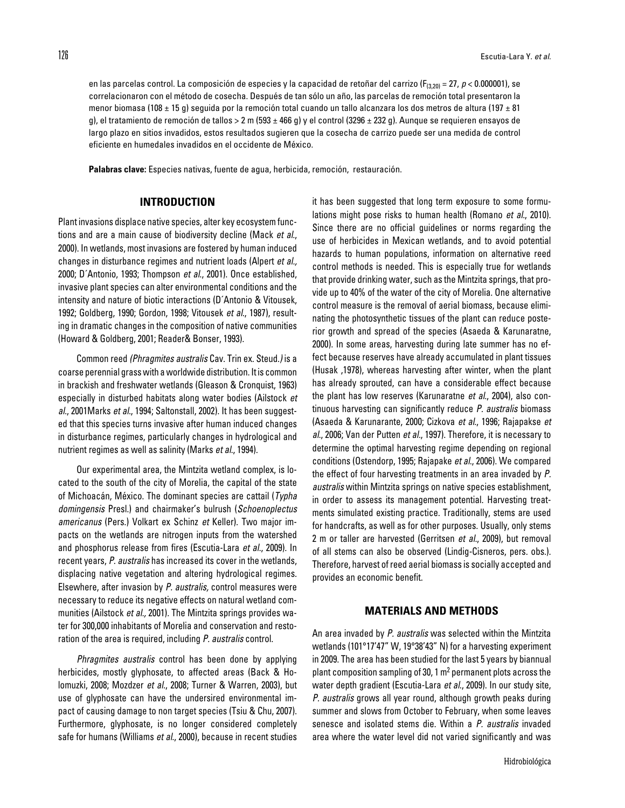en las parcelas control. La composición de especies y la capacidad de retoñar del carrizo (F<sub>(3,20)</sub> = 27, *p* < 0.000001), se correlacionaron con el método de cosecha. Después de tan sólo un año, las parcelas de remoción total presentaron la menor biomasa (108 ± 15 g) seguida por la remoción total cuando un tallo alcanzara los dos metros de altura (197 ± 81 g), el tratamiento de remoción de tallos > 2 m (593 ± 466 g) y el control (3296 ± 232 g). Aunque se requieren ensayos de largo plazo en sitios invadidos, estos resultados sugieren que la cosecha de carrizo puede ser una medida de control eficiente en humedales invadidos en el occidente de México.

**Palabras clave:** Especies nativas, fuente de agua, herbicida, remoción, restauración.

### **INTRODUCTION**

Plant invasions displace native species, alter key ecosystem functions and are a main cause of biodiversity decline (Mack *et al*., 2000). In wetlands, most invasions are fostered by human induced changes in disturbance regimes and nutrient loads (Alpert *et al.,* 2000; D´Antonio, 1993; Thompson *et al*., 2001). Once established, invasive plant species can alter environmental conditions and the intensity and nature of biotic interactions (D´Antonio & Vitousek, 1992; Goldberg, 1990; Gordon, 1998; Vitousek *et al*., 1987), resulting in dramatic changes in the composition of native communities (Howard & Goldberg, 2001; Reader& Bonser, 1993).

Common reed *(Phragmites australis* Cav. Trin ex. Steud.*)* is a coarse perennial grass with a worldwide distribution. It is common in brackish and freshwater wetlands (Gleason & Cronquist, 1963) especially in disturbed habitats along water bodies (Ailstock *et al*., 2001Marks *et al.*, 1994; Saltonstall, 2002). It has been suggested that this species turns invasive after human induced changes in disturbance regimes, particularly changes in hydrological and nutrient regimes as well as salinity (Marks *et al*., 1994).

Our experimental area, the Mintzita wetland complex, is located to the south of the city of Morelia, the capital of the state of Michoacán, México. The dominant species are cattail (*Typha domingensis* Presl.) and chairmaker's bulrush (*Schoenoplectus americanus* (Pers.) Volkart ex Schinz *et* Keller). Two major impacts on the wetlands are nitrogen inputs from the watershed and phosphorus release from fires (Escutia-Lara *et al*., 2009). In recent years, *P. australis* has increased its cover in the wetlands, displacing native vegetation and altering hydrological regimes. Elsewhere, after invasion by *P. australis,* control measures were necessary to reduce its negative effects on natural wetland communities (Ailstock *et al.,* 2001)*.* The Mintzita springs provides water for 300,000 inhabitants of Morelia and conservation and restoration of the area is required, including *P. australis* control.

*Phragmites australis* control has been done by applying herbicides, mostly glyphosate, to affected areas (Back & Holomuzki, 2008; Mozdzer *et al.*, 2008; Turner & Warren, 2003), but use of glyphosate can have the undersired environmental impact of causing damage to non target species (Tsiu & Chu, 2007). Furthermore, glyphosate, is no longer considered completely safe for humans (Williams *et al*., 2000), because in recent studies it has been suggested that long term exposure to some formulations might pose risks to human health (Romano *et al.*, 2010). Since there are no official guidelines or norms regarding the use of herbicides in Mexican wetlands, and to avoid potential hazards to human populations, information on alternative reed control methods is needed. This is especially true for wetlands that provide drinking water, such as the Mintzita springs, that provide up to 40% of the water of the city of Morelia. One alternative control measure is the removal of aerial biomass, because eliminating the photosynthetic tissues of the plant can reduce posterior growth and spread of the species (Asaeda & Karunaratne, 2000). In some areas, harvesting during late summer has no effect because reserves have already accumulated in plant tissues (Husak ,1978), whereas harvesting after winter, when the plant has already sprouted, can have a considerable effect because the plant has low reserves (Karunaratne *et al*., 2004), also continuous harvesting can significantly reduce *P. australis* biomass (Asaeda & Karunarante, 2000; Cizkova *et al*., 1996; Rajapakse *et al*., 2006; Van der Putten *et al.*, 1997). Therefore, it is necessary to determine the optimal harvesting regime depending on regional conditions (Ostendorp, 1995; Rajapake *et al*., 2006). We compared the effect of four harvesting treatments in an area invaded by *P. australis* within Mintzita springs on native species establishment, in order to assess its management potential. Harvesting treatments simulated existing practice. Traditionally, stems are used for handcrafts, as well as for other purposes. Usually, only stems 2 m or taller are harvested (Gerritsen *et al.*, 2009), but removal of all stems can also be observed (Lindig-Cisneros, pers. obs.). Therefore, harvest of reed aerial biomass is socially accepted and provides an economic benefit.

#### **MATERIALS AND METHODS**

An area invaded by *P. australis* was selected within the Mintzita wetlands (101°17'47" W, 19°38'43" N) for a harvesting experiment in 2009. The area has been studied for the last 5 years by biannual plant composition sampling of 30, 1  $m^2$  permanent plots across the water depth gradient (Escutia-Lara *et al*., 2009). In our study site, *P. australis* grows all year round, although growth peaks during summer and slows from October to February, when some leaves senesce and isolated stems die. Within a *P. australis* invaded area where the water level did not varied significantly and was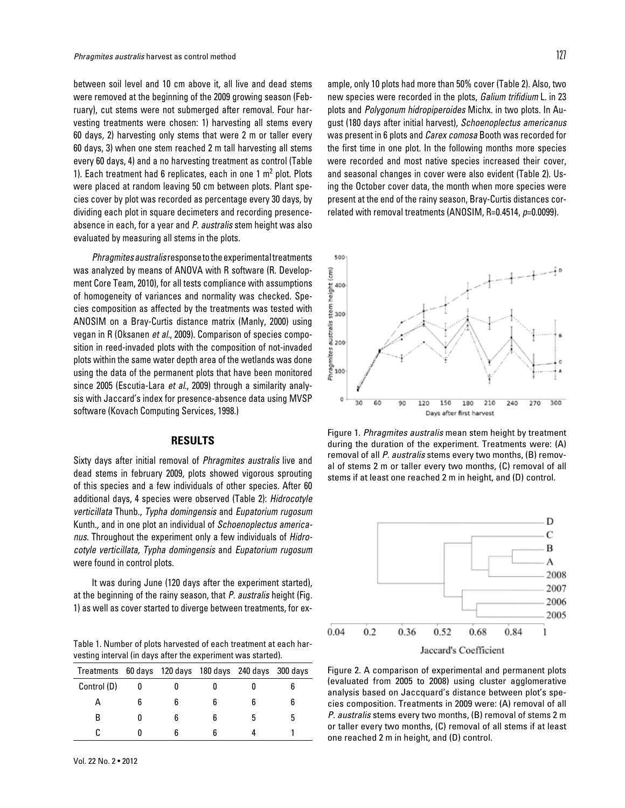between soil level and 10 cm above it, all live and dead stems were removed at the beginning of the 2009 growing season (February), cut stems were not submerged after removal. Four harvesting treatments were chosen: 1) harvesting all stems every 60 days, 2) harvesting only stems that were 2 m or taller every 60 days, 3) when one stem reached 2 m tall harvesting all stems every 60 days, 4) and a no harvesting treatment as control (Table 1). Each treatment had 6 replicates, each in one  $1 \text{ m}^2$  plot. Plots were placed at random leaving 50 cm between plots. Plant species cover by plot was recorded as percentage every 30 days, by dividing each plot in square decimeters and recording presenceabsence in each, for a year and *P. australis* stem height was also evaluated by measuring all stems in the plots.

*Phragmites australis* response to the experimental treatments was analyzed by means of ANOVA with R software (R. Development Core Team, 2010), for all tests compliance with assumptions of homogeneity of variances and normality was checked. Species composition as affected by the treatments was tested with ANOSIM on a Bray-Curtis distance matrix (Manly, 2000) using vegan in R (Oksanen *et al.*, 2009). Comparison of species composition in reed-invaded plots with the composition of not-invaded plots within the same water depth area of the wetlands was done using the data of the permanent plots that have been monitored since 2005 (Escutia-Lara *et al*., 2009) through a similarity analysis with Jaccard's index for presence-absence data using MVSP software (Kovach Computing Services, 1998.)

### **RESULTS**

Sixty days after initial removal of *Phragmites australis* live and dead stems in february 2009, plots showed vigorous sprouting of this species and a few individuals of other species. After 60 additional days, 4 species were observed (Table 2): *Hidrocotyle verticillata* Thunb.*, Typha domingensis* and *Eupatorium rugosum*  Kunth.*,* and in one plot an individual of *Schoenoplectus americanus.* Throughout the experiment only a few individuals of *Hidrocotyle verticillata, Typha domingensis* and *Eupatorium rugosum*  were found in control plots.

It was during June (120 days after the experiment started), at the beginning of the rainy season, that *P. australis* height (Fig. 1) as well as cover started to diverge between treatments, for ex-

Table 1. Number of plots harvested of each treatment at each harvesting interval (in days after the experiment was started).

| Treatments 60 days 120 days 180 days 240 days 300 days |   |   |   |  |
|--------------------------------------------------------|---|---|---|--|
| Control (D)                                            |   |   |   |  |
|                                                        | 6 | 6 |   |  |
| В                                                      | 6 | հ | 5 |  |
|                                                        | հ | հ |   |  |

ample, only 10 plots had more than 50% cover (Table 2). Also, two new species were recorded in the plots, *Galium trifidium* L. in 23 plots and *Polygonum hidropiperoides* Michx. in two plots. In August (180 days after initial harvest), *Schoenoplectus americanus* was present in 6 plots and *Carex comosa* Booth was recorded for the first time in one plot. In the following months more species were recorded and most native species increased their cover, and seasonal changes in cover were also evident (Table 2). Using the October cover data, the month when more species were present at the end of the rainy season, Bray-Curtis distances correlated with removal treatments (ANOSIM, R=0.4514, *p*=0.0099).



Figure 1. *Phragmites australis* mean stem height by treatment during the duration of the experiment. Treatments were: (A) removal of all *P. australis* stems every two months, (B) removal of stems 2 m or taller every two months, (C) removal of all stems if at least one reached 2 m in height, and (D) control.



Figure 2. A comparison of experimental and permanent plots (evaluated from 2005 to 2008) using cluster agglomerative analysis based on Jaccquard's distance between plot's species composition. Treatments in 2009 were: (A) removal of all *P. australis* stems every two months, (B) removal of stems 2 m or taller every two months, (C) removal of all stems if at least one reached 2 m in height, and (D) control.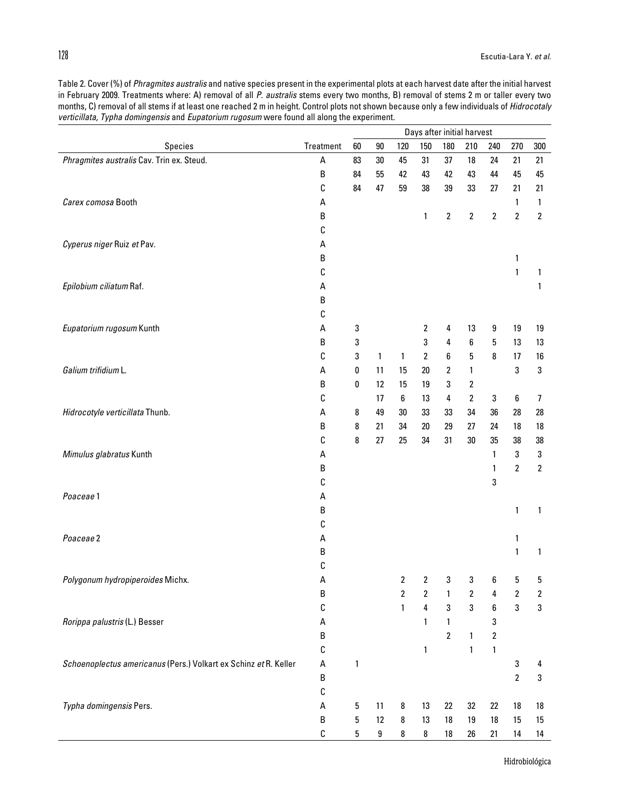|                                                                  |           | Days after initial harvest |              |                  |                         |                |                  |                  |                  |                         |
|------------------------------------------------------------------|-----------|----------------------------|--------------|------------------|-------------------------|----------------|------------------|------------------|------------------|-------------------------|
| Species                                                          | Treatment | 60                         | $90\,$       | 120              | 150                     | 180            | 210              | 240              | 270              | 300                     |
| Phragmites australis Cav. Trin ex. Steud.                        | А         | 83                         | $30\,$       | 45               | 31                      | 37             | 18               | 24               | 21               | 21                      |
|                                                                  | B         | 84                         | 55           | 42               | 43                      | 42             | 43               | 44               | 45               | 45                      |
|                                                                  | С         | 84                         | 47           | 59               | 38                      | 39             | 33               | 27               | 21               | 21                      |
| Carex comosa Booth                                               | А         |                            |              |                  |                         |                |                  |                  | $\mathbf{1}$     | 1                       |
|                                                                  | В         |                            |              |                  | 1                       | $\overline{2}$ | $\sqrt{2}$       | $\boldsymbol{2}$ | $\overline{2}$   | $\overline{2}$          |
|                                                                  | С         |                            |              |                  |                         |                |                  |                  |                  |                         |
| Cyperus niger Ruiz et Pav.                                       | А         |                            |              |                  |                         |                |                  |                  |                  |                         |
|                                                                  | B         |                            |              |                  |                         |                |                  |                  | 1                |                         |
|                                                                  | С         |                            |              |                  |                         |                |                  |                  | $\mathbf{1}$     | 1                       |
| Epilobium ciliatum Raf.                                          | А         |                            |              |                  |                         |                |                  |                  |                  | 1                       |
|                                                                  | В         |                            |              |                  |                         |                |                  |                  |                  |                         |
|                                                                  | С         |                            |              |                  |                         |                |                  |                  |                  |                         |
| Eupatorium rugosum Kunth                                         | А         | 3                          |              |                  | 2                       | 4              | 13               | 9                | 19               | 19                      |
|                                                                  | B         | 3                          |              |                  | 3                       | 4              | 6                | 5                | 13               | 13                      |
|                                                                  | С         | 3                          | $\mathbf{1}$ | 1                | $\overline{2}$          | 6              | 5                | 8                | 17               | 16                      |
| Galium trifidium L.                                              | А         | 0                          | 11           | 15               | $20\,$                  | 2              | 1                |                  | 3                | 3                       |
|                                                                  | В         | 0                          | 12           | 15               | 19                      | 3              | $\boldsymbol{2}$ |                  |                  |                         |
|                                                                  | С         |                            | 17           | 6                | 13                      | 4              | $\mathbf{2}$     | 3                | $\boldsymbol{6}$ | 7                       |
| Hidrocotyle verticillata Thunb.                                  | А         | 8                          | 49           | $30\,$           | 33                      | 33             | 34               | 36               | 28               | 28                      |
|                                                                  | В         | 8                          | 21           | 34               | $20\,$                  | 29             | 27               | 24               | 18               | 18                      |
|                                                                  | С         | 8                          | 27           | 25               | 34                      | 31             | $30\,$           | 35               | 38               | 38                      |
| Mimulus glabratus Kunth                                          | А         |                            |              |                  |                         |                |                  | 1                | 3                | 3                       |
|                                                                  | B         |                            |              |                  |                         |                |                  | 1                | $\overline{2}$   | $\overline{2}$          |
|                                                                  | С         |                            |              |                  |                         |                |                  | 3                |                  |                         |
| Poaceae1                                                         | А         |                            |              |                  |                         |                |                  |                  |                  |                         |
|                                                                  | В         |                            |              |                  |                         |                |                  |                  | $\mathbf{1}$     | 1                       |
|                                                                  | С         |                            |              |                  |                         |                |                  |                  |                  |                         |
| Poaceae <sub>2</sub>                                             | А         |                            |              |                  |                         |                |                  |                  | $\mathbf{1}$     |                         |
|                                                                  | В         |                            |              |                  |                         |                |                  |                  | $\mathbf{1}$     | 1                       |
|                                                                  | С         |                            |              |                  |                         |                |                  |                  |                  |                         |
| Polygonum hydropiperoides Michx.                                 | A         |                            |              | 2                | $\overline{\mathbf{c}}$ | 3              | 3                | 6                | 5                | 5                       |
|                                                                  | B         |                            |              | $\boldsymbol{2}$ | $\overline{\mathbf{2}}$ | 1              | $\boldsymbol{2}$ | 4                | $\boldsymbol{2}$ | $\overline{\mathbf{c}}$ |
|                                                                  | С         |                            |              | $\mathbf{1}$     | 4                       | $\sqrt{3}$     | $\mathsf 3$      | $\boldsymbol{6}$ | $\mathbf 3$      | 3                       |
| Rorippa palustris (L.) Besser                                    | А         |                            |              |                  | 1                       | $\mathbf{1}$   |                  | 3                |                  |                         |
|                                                                  | В         |                            |              |                  |                         | $\overline{2}$ | $\mathbf{1}$     | $\boldsymbol{2}$ |                  |                         |
|                                                                  | С         |                            |              |                  | $\mathbf{1}$            |                | $\mathbf 1$      | 1                |                  |                         |
| Schoenoplectus americanus (Pers.) Volkart ex Schinz et R. Keller | А         | 1                          |              |                  |                         |                |                  |                  | 3                | 4                       |
|                                                                  | $\sf B$   |                            |              |                  |                         |                |                  |                  | $\boldsymbol{2}$ | 3                       |
|                                                                  | С         |                            |              |                  |                         |                |                  |                  |                  |                         |
| Typha domingensis Pers.                                          | А         | 5                          | 11           | 8                | 13                      | 22             | 32               | 22               | 18               | 18                      |
|                                                                  | B         | 5                          | 12           | 8                | 13                      | $18\,$         | $19$             | 18               | 15               | 15                      |
|                                                                  | С         | 5                          | 9            | 8                | 8                       | 18             | 26               | 21               | 14               | 14                      |

Table 2. Cover (%) of *Phragmites australis* and native species present in the experimental plots at each harvest date after the initial harvest in February 2009. Treatments where: A) removal of all *P. australis* stems every two months, B) removal of stems 2 m or taller every two months, C) removal of all stems if at least one reached 2 m in height. Control plots not shown because only a few individuals of *Hidrocotaly verticillata, Typha domingensis* and *Eupatorium rugosum* were found all along the experiment.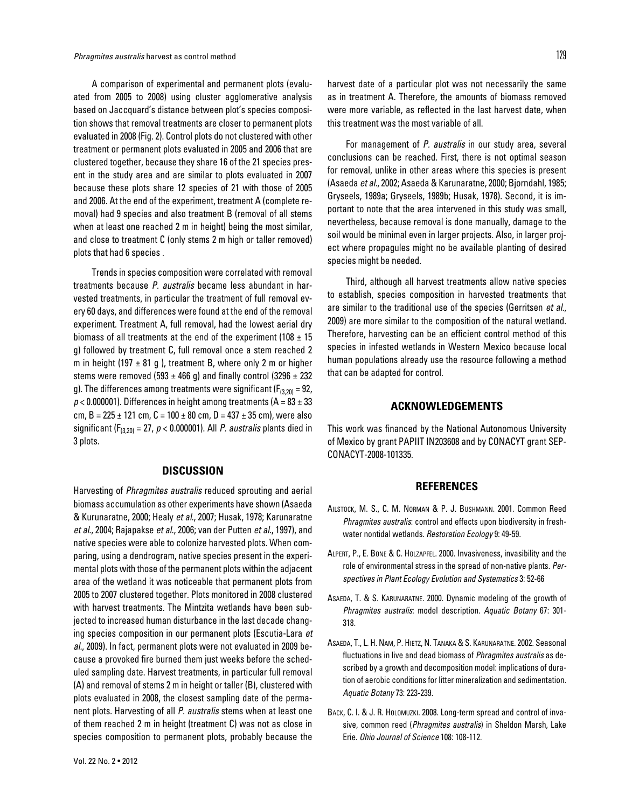A comparison of experimental and permanent plots (evaluated from 2005 to 2008) using cluster agglomerative analysis based on Jaccquard's distance between plot's species composition shows that removal treatments are closer to permanent plots evaluated in 2008 (Fig. 2). Control plots do not clustered with other treatment or permanent plots evaluated in 2005 and 2006 that are clustered together, because they share 16 of the 21 species present in the study area and are similar to plots evaluated in 2007 because these plots share 12 species of 21 with those of 2005 and 2006. At the end of the experiment, treatment A (complete removal) had 9 species and also treatment B (removal of all stems when at least one reached 2 m in height) being the most similar, and close to treatment C (only stems 2 m high or taller removed) plots that had 6 species .

Trends in species composition were correlated with removal treatments because *P. australis* became less abundant in harvested treatments, in particular the treatment of full removal every 60 days, and differences were found at the end of the removal experiment. Treatment A, full removal, had the lowest aerial dry biomass of all treatments at the end of the experiment (108  $\pm$  15 g) followed by treatment C, full removal once a stem reached 2 m in height (197  $\pm$  81 g ), treatment B, where only 2 m or higher stems were removed (593  $\pm$  466 g) and finally control (3296  $\pm$  232 g). The differences among treatments were significant ( $F_{(3,20)} = 92$ ,  $p$  < 0.000001). Differences in height among treatments (A = 83  $\pm$  33 cm, B =  $225 \pm 121$  cm, C =  $100 \pm 80$  cm, D =  $437 \pm 35$  cm), were also significant (F(3,20) = 27, *p* < 0.000001). All *P. australis* plants died in 3 plots.

## **DISCUSSION**

Harvesting of *Phragmites australis* reduced sprouting and aerial biomass accumulation as other experiments have shown (Asaeda & Kurunaratne, 2000; Healy *et al*., 2007; Husak, 1978; Karunaratne *et al*., 2004; Rajapakse *et al*., 2006; van der Putten *et al.*, 1997), and native species were able to colonize harvested plots. When comparing, using a dendrogram, native species present in the experimental plots with those of the permanent plots within the adjacent area of the wetland it was noticeable that permanent plots from 2005 to 2007 clustered together. Plots monitored in 2008 clustered with harvest treatments. The Mintzita wetlands have been subjected to increased human disturbance in the last decade changing species composition in our permanent plots (Escutia-Lara *et al.*, 2009). In fact, permanent plots were not evaluated in 2009 because a provoked fire burned them just weeks before the scheduled sampling date. Harvest treatments, in particular full removal (A) and removal of stems 2 m in height or taller (B), clustered with plots evaluated in 2008, the closest sampling date of the permanent plots. Harvesting of all *P. australis* stems when at least one of them reached 2 m in height (treatment C) was not as close in species composition to permanent plots, probably because the

For management of *P. australis* in our study area, several conclusions can be reached. First, there is not optimal season for removal, unlike in other areas where this species is present (Asaeda *et al.*, 2002; Asaeda & Karunaratne, 2000; Bjorndahl, 1985; Gryseels, 1989a; Gryseels, 1989b; Husak, 1978). Second, it is important to note that the area intervened in this study was small, nevertheless, because removal is done manually, damage to the soil would be minimal even in larger projects. Also, in larger project where propagules might no be available planting of desired species might be needed.

this treatment was the most variable of all.

Third, although all harvest treatments allow native species to establish, species composition in harvested treatments that are similar to the traditional use of the species (Gerritsen *et al.*, 2009) are more similar to the composition of the natural wetland. Therefore, harvesting can be an efficient control method of this species in infested wetlands in Western Mexico because local human populations already use the resource following a method that can be adapted for control.

### **ACKNOWLEDGEMENTS**

This work was financed by the National Autonomous University of Mexico by grant PAPIIT IN203608 and by CONACYT grant SEP-CONACYT-2008-101335.

#### **REFERENCES**

- Ailstock, M. S., C. M. Norman & P. J. Bushmann. 2001. Common Reed *Phragmites australis*: control and effects upon biodiversity in freshwater nontidal wetlands. *Restoration Ecology* 9: 49-59.
- Alpert, P., E. Bone & C. Holzapfel. 2000. Invasiveness, invasibility and the role of environmental stress in the spread of non-native plants. *Perspectives in Plant Ecology Evolution and Systematics* 3: 52-66
- Asaeda, T. & S. Karunaratne. 2000. Dynamic modeling of the growth of *Phragmites australis*: model description. *Aquatic Botany* 67: 301- 318.
- Asaeda, T., L. H. Nam, P. Hietz, N. Tanaka & S. Karunaratne. 2002. Seasonal fluctuations in live and dead biomass of *Phragmites australis* as described by a growth and decomposition model: implications of duration of aerobic conditions for litter mineralization and sedimentation. *Aquatic Botany* 73: 223-239.
- BACK, C. I. & J. R. HOLOMUZKI. 2008. Long-term spread and control of invasive, common reed (*Phragmites australis*) in Sheldon Marsh, Lake Erie. *Ohio Journal of Science* 108: 108-112.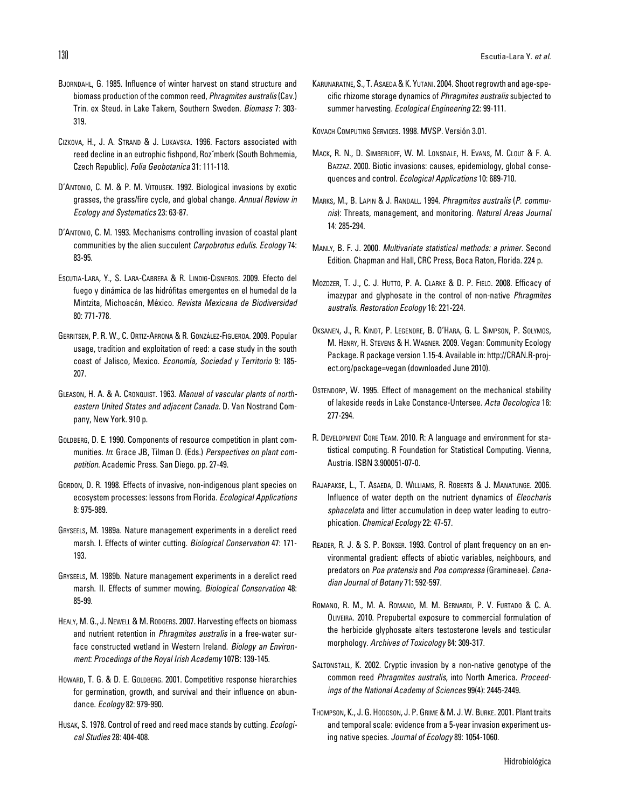- Bjorndahl, G. 1985. Influence of winter harvest on stand structure and biomass production of the common reed, *Phragmites australis* (Cav.) Trin. ex Steud. in Lake Takern, Southern Sweden. *Biomass* 7: 303- 319.
- Cizkova, H., J. A. Strand & J. Lukavska. 1996. Factors associated with reed decline in an eutrophic fishpond, Rozˇmberk (South Bohmemia, Czech Republic). *Folia Geobotanica* 31: 111-118.
- D'Antonio, C. M. & P. M. Vitousek. 1992. Biological invasions by exotic grasses, the grass/fire cycle, and global change. *Annual Review in Ecology and Systematics* 23: 63-87.
- D'Antonio, C. M. 1993. Mechanisms controlling invasion of coastal plant communities by the alien succulent *Carpobrotus edulis*. *Ecology* 74: 83-95.
- Escutia-Lara, Y., S. Lara-Cabrera & R. Lindig-Cisneros. 2009. Efecto del fuego y dinámica de las hidrófitas emergentes en el humedal de la Mintzita, Michoacán, México. *Revista Mexicana de Biodiversidad* 80: 771-778.
- Gerritsen, P. R. W., C. Ortiz-Arrona & R. González-Figueroa. 2009. Popular usage, tradition and exploitation of reed: a case study in the south coast of Jalisco, Mexico. *Economía, Sociedad y Territorio* 9: 185- 207.
- Gleason, H. A. & A. Cronquist. 1963. *Manual of vascular plants of northeastern United States and adjacent Canada*. D. Van Nostrand Company, New York. 910 p.
- GOLDBERG, D. E. 1990. Components of resource competition in plant communities. *In*: Grace JB, Tilman D. (Eds.) *Perspectives on plant competition*. Academic Press. San Diego. pp. 27-49.
- GORDON, D. R. 1998. Effects of invasive, non-indigenous plant species on ecosystem processes: lessons from Florida. *Ecological Applications* 8: 975-989.
- Gryseels, M. 1989a. Nature management experiments in a derelict reed marsh. I. Effects of winter cutting. *Biological Conservation* 47: 171- 193.
- Gryseels, M. 1989b. Nature management experiments in a derelict reed marsh. II. Effects of summer mowing. *Biological Conservation* 48: 85-99.
- HEALY, M. G., J. NEWELL & M. RODGERS. 2007. Harvesting effects on biomass and nutrient retention in *Phragmites australis* in a free-water surface constructed wetland in Western Ireland. *Biology an Environment: Procedings of the Royal Irish Academy* 107B: 139-145.
- HOWARD, T. G. & D. E. GOLDBERG. 2001. Competitive response hierarchies for germination, growth, and survival and their influence on abundance. *Ecology* 82: 979-990.
- Husak, S. 1978. Control of reed and reed mace stands by cutting. *Ecological Studies* 28: 404-408.

Karunaratne, S., T. Asaeda & K. Yutani. 2004. Shoot regrowth and age-specific rhizome storage dynamics of *Phragmites australis* subjected to summer harvesting. *Ecological Engineering* 22: 99-111.

Kovach Computing Services. 1998. MVSP. Versión 3.01.

- Mack, R. N., D. Simberloff, W. M. Lonsdale, H. Evans, M. Clout & F. A. Bazzaz. 2000. Biotic invasions: causes, epidemiology, global consequences and control. *Ecological Applications* 10: 689-710.
- Marks, M., B. Lapin & J. Randall. 1994. *Phragmites australis* (*P. communis*): Threats, management, and monitoring. *Natural Areas Journal* 14: 285-294.
- Manly, B. F. J. 2000. *Multivariate statistical methods: a primer*. Second Edition. Chapman and Hall, CRC Press, Boca Raton, Florida. 224 p.
- Mozdzer, T. J., C. J. Hutto, P. A. Clarke & D. P. Field. 2008. Efficacy of imazypar and glyphosate in the control of non-native *Phragmites australis*. *Restoration Ecology* 16: 221-224.
- Oksanen, J., R. Kindt, P. Legendre, B. O'Hara, G. L. Simpson, P. Solymos, M. Henry, H. Stevens & H. Wagner. 2009. Vegan: Community Ecology Package. R package version 1.15-4. Available in: http://CRAN.R-project.org/package=vegan (downloaded June 2010).
- Ostendorp, W. 1995. Effect of management on the mechanical stability of lakeside reeds in Lake Constance-Untersee. *Acta Oecologica* 16: 277-294.
- R. Development Core Team. 2010. R: A language and environment for statistical computing. R Foundation for Statistical Computing. Vienna, Austria. ISBN 3.900051-07-0.
- Rajapakse, L., T. Asaeda, D. Williams, R. Roberts & J. Manatunge. 2006. Influence of water depth on the nutrient dynamics of *Eleocharis sphacelata* and litter accumulation in deep water leading to eutrophication. *Chemical Ecology* 22: 47-57.
- Reader, R. J. & S. P. Bonser. 1993. Control of plant frequency on an environmental gradient: effects of abiotic variables, neighbours, and predators on *Poa pratensis* and *Poa compressa* (Gramineae). *Canadian Journal of Botany* 71: 592-597.
- Romano, R. M., M. A. Romano, M. M. Bernardi, P. V. Furtado & C. A. Oliveira. 2010. Prepubertal exposure to commercial formulation of the herbicide glyphosate alters testosterone levels and testicular morphology. *Archives of Toxicology* 84: 309-317.
- Saltonstall, K. 2002. Cryptic invasion by a non-native genotype of the common reed *Phragmites australis*, into North America. *Proceedings of the National Academy of Sciences* 99(4): 2445-2449.
- Thompson, K., J. G. Hodgson, J. P. Grime & M. J. W. Burke. 2001. Plant traits and temporal scale: evidence from a 5-year invasion experiment using native species. *Journal of Ecology* 89: 1054-1060.